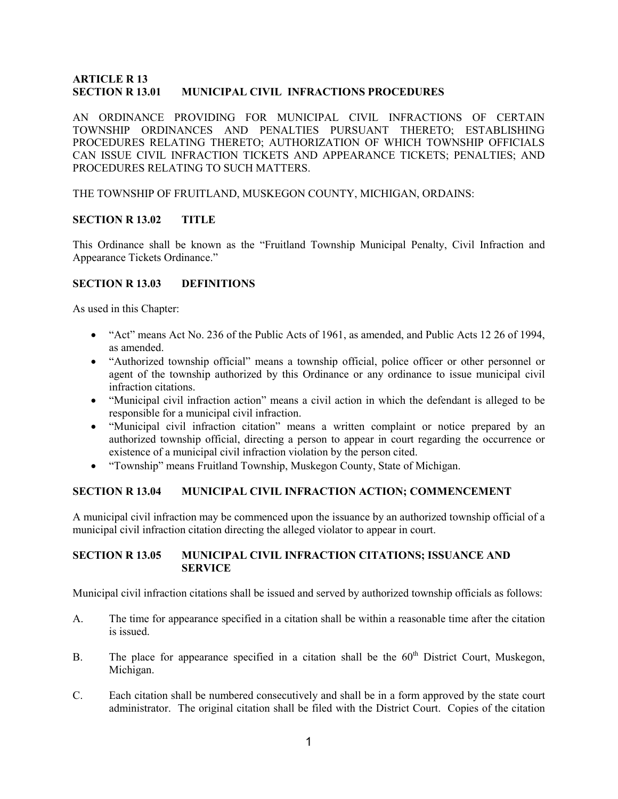### ARTICLE R 13 SECTION R 13.01 MUNICIPAL CIVIL INFRACTIONS PROCEDURES

AN ORDINANCE PROVIDING FOR MUNICIPAL CIVIL INFRACTIONS OF CERTAIN TOWNSHIP ORDINANCES AND PENALTIES PURSUANT THERETO; ESTABLISHING PROCEDURES RELATING THERETO; AUTHORIZATION OF WHICH TOWNSHIP OFFICIALS CAN ISSUE CIVIL INFRACTION TICKETS AND APPEARANCE TICKETS; PENALTIES; AND PROCEDURES RELATING TO SUCH MATTERS.

THE TOWNSHIP OF FRUITLAND, MUSKEGON COUNTY, MICHIGAN, ORDAINS:

### SECTION R 13.02 TITLE

This Ordinance shall be known as the "Fruitland Township Municipal Penalty, Civil Infraction and Appearance Tickets Ordinance."

### SECTION R 13.03 DEFINITIONS

As used in this Chapter:

- "Act" means Act No. 236 of the Public Acts of 1961, as amended, and Public Acts 12 26 of 1994, as amended.
- "Authorized township official" means a township official, police officer or other personnel or agent of the township authorized by this Ordinance or any ordinance to issue municipal civil infraction citations.
- "Municipal civil infraction action" means a civil action in which the defendant is alleged to be responsible for a municipal civil infraction.
- "Municipal civil infraction citation" means a written complaint or notice prepared by an authorized township official, directing a person to appear in court regarding the occurrence or existence of a municipal civil infraction violation by the person cited.
- "Township" means Fruitland Township, Muskegon County, State of Michigan.

### SECTION R 13.04 MUNICIPAL CIVIL INFRACTION ACTION; COMMENCEMENT

A municipal civil infraction may be commenced upon the issuance by an authorized township official of a municipal civil infraction citation directing the alleged violator to appear in court.

### SECTION R 13.05 MUNICIPAL CIVIL INFRACTION CITATIONS; ISSUANCE AND SERVICE

Municipal civil infraction citations shall be issued and served by authorized township officials as follows:

- A. The time for appearance specified in a citation shall be within a reasonable time after the citation is issued.
- B. The place for appearance specified in a citation shall be the  $60<sup>th</sup>$  District Court, Muskegon, Michigan.
- C. Each citation shall be numbered consecutively and shall be in a form approved by the state court administrator. The original citation shall be filed with the District Court. Copies of the citation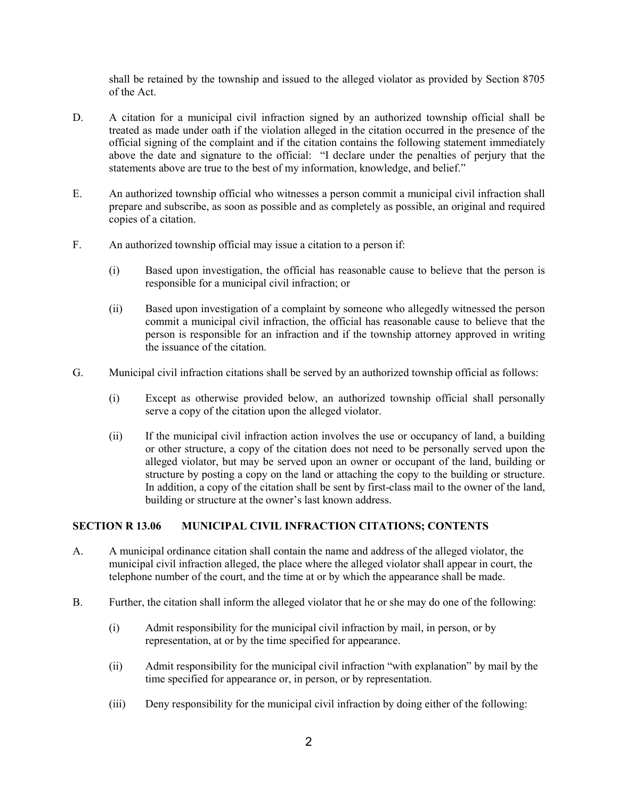shall be retained by the township and issued to the alleged violator as provided by Section 8705 of the Act.

- D. A citation for a municipal civil infraction signed by an authorized township official shall be treated as made under oath if the violation alleged in the citation occurred in the presence of the official signing of the complaint and if the citation contains the following statement immediately above the date and signature to the official: "I declare under the penalties of perjury that the statements above are true to the best of my information, knowledge, and belief."
- E. An authorized township official who witnesses a person commit a municipal civil infraction shall prepare and subscribe, as soon as possible and as completely as possible, an original and required copies of a citation.
- F. An authorized township official may issue a citation to a person if:
	- (i) Based upon investigation, the official has reasonable cause to believe that the person is responsible for a municipal civil infraction; or
	- (ii) Based upon investigation of a complaint by someone who allegedly witnessed the person commit a municipal civil infraction, the official has reasonable cause to believe that the person is responsible for an infraction and if the township attorney approved in writing the issuance of the citation.
- G. Municipal civil infraction citations shall be served by an authorized township official as follows:
	- (i) Except as otherwise provided below, an authorized township official shall personally serve a copy of the citation upon the alleged violator.
	- (ii) If the municipal civil infraction action involves the use or occupancy of land, a building or other structure, a copy of the citation does not need to be personally served upon the alleged violator, but may be served upon an owner or occupant of the land, building or structure by posting a copy on the land or attaching the copy to the building or structure. In addition, a copy of the citation shall be sent by first-class mail to the owner of the land, building or structure at the owner's last known address.

### SECTION R 13.06 MUNICIPAL CIVIL INFRACTION CITATIONS; CONTENTS

- A. A municipal ordinance citation shall contain the name and address of the alleged violator, the municipal civil infraction alleged, the place where the alleged violator shall appear in court, the telephone number of the court, and the time at or by which the appearance shall be made.
- B. Further, the citation shall inform the alleged violator that he or she may do one of the following:
	- (i) Admit responsibility for the municipal civil infraction by mail, in person, or by representation, at or by the time specified for appearance.
	- (ii) Admit responsibility for the municipal civil infraction "with explanation" by mail by the time specified for appearance or, in person, or by representation.
	- (iii) Deny responsibility for the municipal civil infraction by doing either of the following: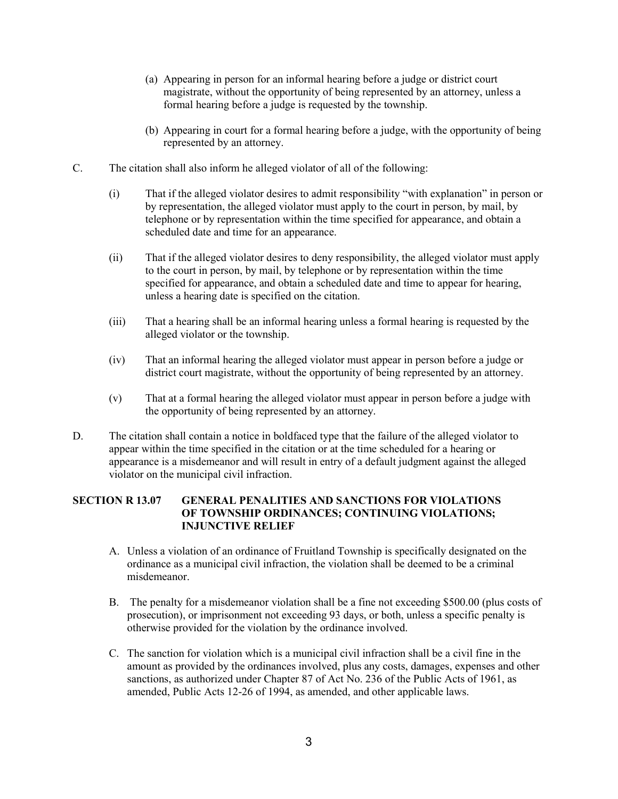- (a) Appearing in person for an informal hearing before a judge or district court magistrate, without the opportunity of being represented by an attorney, unless a formal hearing before a judge is requested by the township.
- (b) Appearing in court for a formal hearing before a judge, with the opportunity of being represented by an attorney.
- C. The citation shall also inform he alleged violator of all of the following:
	- (i) That if the alleged violator desires to admit responsibility "with explanation" in person or by representation, the alleged violator must apply to the court in person, by mail, by telephone or by representation within the time specified for appearance, and obtain a scheduled date and time for an appearance.
	- (ii) That if the alleged violator desires to deny responsibility, the alleged violator must apply to the court in person, by mail, by telephone or by representation within the time specified for appearance, and obtain a scheduled date and time to appear for hearing, unless a hearing date is specified on the citation.
	- (iii) That a hearing shall be an informal hearing unless a formal hearing is requested by the alleged violator or the township.
	- (iv) That an informal hearing the alleged violator must appear in person before a judge or district court magistrate, without the opportunity of being represented by an attorney.
	- (v) That at a formal hearing the alleged violator must appear in person before a judge with the opportunity of being represented by an attorney.
- D. The citation shall contain a notice in boldfaced type that the failure of the alleged violator to appear within the time specified in the citation or at the time scheduled for a hearing or appearance is a misdemeanor and will result in entry of a default judgment against the alleged violator on the municipal civil infraction.

# SECTION R 13.07 GENERAL PENALITIES AND SANCTIONS FOR VIOLATIONS OF TOWNSHIP ORDINANCES; CONTINUING VIOLATIONS; INJUNCTIVE RELIEF

- A. Unless a violation of an ordinance of Fruitland Township is specifically designated on the ordinance as a municipal civil infraction, the violation shall be deemed to be a criminal misdemeanor.
- B. The penalty for a misdemeanor violation shall be a fine not exceeding \$500.00 (plus costs of prosecution), or imprisonment not exceeding 93 days, or both, unless a specific penalty is otherwise provided for the violation by the ordinance involved.
- C. The sanction for violation which is a municipal civil infraction shall be a civil fine in the amount as provided by the ordinances involved, plus any costs, damages, expenses and other sanctions, as authorized under Chapter 87 of Act No. 236 of the Public Acts of 1961, as amended, Public Acts 12-26 of 1994, as amended, and other applicable laws.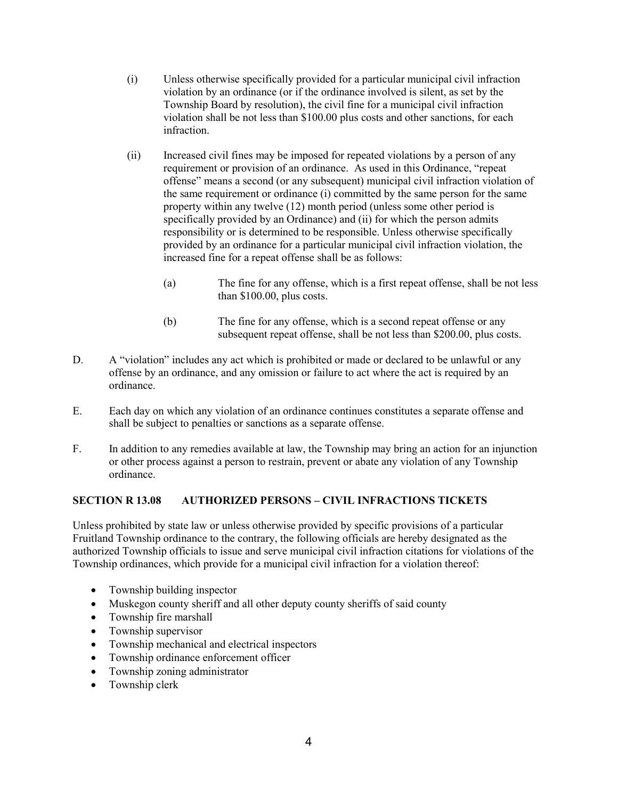- (i) Unless otherwise specifically provided for a particular municipal civil infraction violation by an ordinance (or if the ordinance involved is silent, as set by the Township Board by resolution), the civil fine for a municipal civil infraction violation shall be not less than \$100.00 plus costs and other sanctions, for each infraction.
- (ii) Increased civil fines may be imposed for repeated violations by a person of any requirement or provision of an ordinance. As used in this Ordinance, "repeat offense" means a second (or any subsequent) municipal civil infraction violation of the same requirement or ordinance (i) committed by the same person for the same property within any twelve (12) month period (unless some other period is specifically provided by an Ordinance) and (ii) for which the person admits responsibility or is determined to be responsible. Unless otherwise specifically provided by an ordinance for a particular municipal civil infraction violation, the increased fine for a repeat offense shall be as follows:
	- (a) The fine for any offense, which is a first repeat offense, shall be not less than \$100.00, plus costs.
	- (b) The fine for any offense, which is a second repeat offense or any subsequent repeat offense, shall be not less than \$200.00, plus costs.
- D. A "violation" includes any act which is prohibited or made or declared to be unlawful or any offense by an ordinance, and any omission or failure to act where the act is required by an ordinance.
- E. Each day on which any violation of an ordinance continues constitutes a separate offense and shall be subject to penalties or sanctions as a separate offense.
- F. In addition to any remedies available at law, the Township may bring an action for an injunction or other process against a person to restrain, prevent or abate any violation of any Township ordinance.

# SECTION R 13.08 AUTHORIZED PERSONS – CIVIL INFRACTIONS TICKETS

Unless prohibited by state law or unless otherwise provided by specific provisions of a particular Fruitland Township ordinance to the contrary, the following officials are hereby designated as the authorized Township officials to issue and serve municipal civil infraction citations for violations of the Township ordinances, which provide for a municipal civil infraction for a violation thereof:

- Township building inspector
- Muskegon county sheriff and all other deputy county sheriffs of said county
- Township fire marshall
- Township supervisor
- Township mechanical and electrical inspectors
- Township ordinance enforcement officer
- Township zoning administrator
- Township clerk